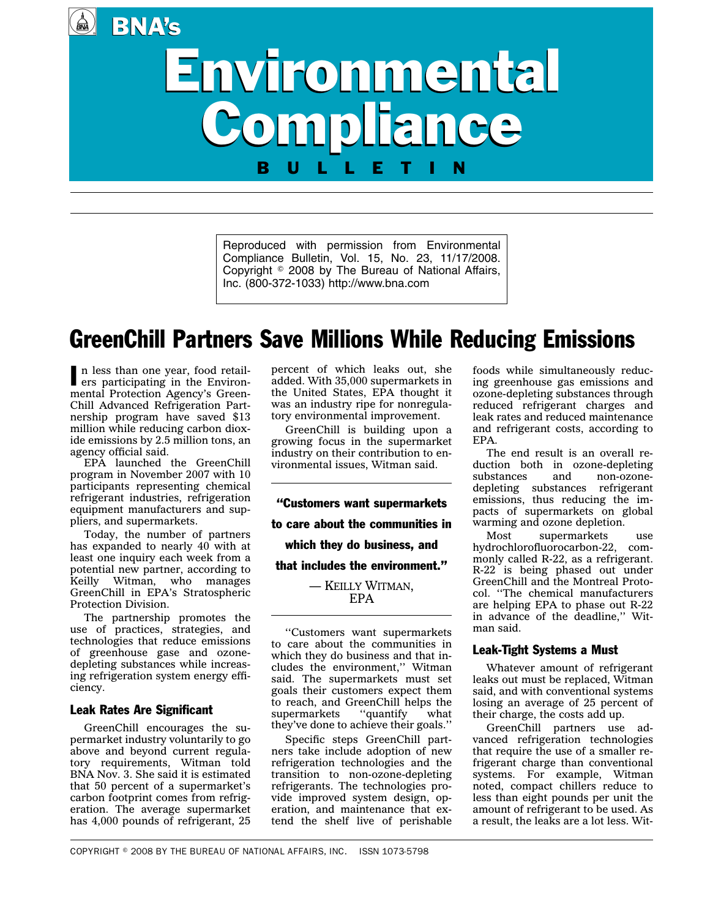**BNA's** 

# Environmental Environmental Compliance Compliance BULLETIN

Reproduced with permission from Environmental Compliance Bulletin, Vol. 15, No. 23, 11/17/2008. Copyright  $\circ$  2008 by The Bureau of National Affairs, Inc. (800-372-1033) http://www.bna.com

## GreenChill Partners Save Millions While Reducing Emissions

In less than one year, food retail-<br>ers participating in the Environers participating in the Environmental Protection Agency's Green-Chill Advanced Refrigeration Partnership program have saved \$13 million while reducing carbon dioxide emissions by 2.5 million tons, an agency official said.

EPA launched the GreenChill program in November 2007 with 10 participants representing chemical refrigerant industries, refrigeration equipment manufacturers and suppliers, and supermarkets.

Today, the number of partners has expanded to nearly 40 with at least one inquiry each week from a potential new partner, according to Keilly Witman, who manages GreenChill in EPA's Stratospheric Protection Division.

The partnership promotes the use of practices, strategies, and technologies that reduce emissions of greenhouse gase and ozonedepleting substances while increasing refrigeration system energy efficiency.

#### Leak Rates Are Significant

GreenChill encourages the supermarket industry voluntarily to go above and beyond current regulatory requirements, Witman told BNA Nov. 3. She said it is estimated that 50 percent of a supermarket's carbon footprint comes from refrigeration. The average supermarket has 4,000 pounds of refrigerant, 25

percent of which leaks out, she added. With 35,000 supermarkets in the United States, EPA thought it was an industry ripe for nonregulatory environmental improvement.

GreenChill is building upon a growing focus in the supermarket industry on their contribution to environmental issues, Witman said.

''Customers want supermarkets to care about the communities in which they do business, and that includes the environment.'' — KEILLY WITMAN, EPA

''Customers want supermarkets to care about the communities in which they do business and that includes the environment,'' Witman said. The supermarkets must set goals their customers expect them to reach, and GreenChill helps the<br>supermarkets "quantify what supermarkets "quantify what they've done to achieve their goals.''

Specific steps GreenChill partners take include adoption of new refrigeration technologies and the transition to non-ozone-depleting refrigerants. The technologies provide improved system design, operation, and maintenance that extend the shelf live of perishable foods while simultaneously reducing greenhouse gas emissions and ozone-depleting substances through reduced refrigerant charges and leak rates and reduced maintenance and refrigerant costs, according to EPA.

The end result is an overall reduction both in ozone-depleting substances and non-ozonedepleting substances refrigerant emissions, thus reducing the impacts of supermarkets on global warming and ozone depletion.

Most supermarkets use hydrochlorofluorocarbon-22, commonly called R-22, as a refrigerant. R-22 is being phased out under GreenChill and the Montreal Protocol. ''The chemical manufacturers are helping EPA to phase out R-22 in advance of the deadline,'' Witman said.

#### Leak-Tight Systems a Must

Whatever amount of refrigerant leaks out must be replaced, Witman said, and with conventional systems losing an average of 25 percent of their charge, the costs add up.

GreenChill partners use advanced refrigeration technologies that require the use of a smaller refrigerant charge than conventional systems. For example, Witman noted, compact chillers reduce to less than eight pounds per unit the amount of refrigerant to be used. As a result, the leaks are a lot less. Wit-